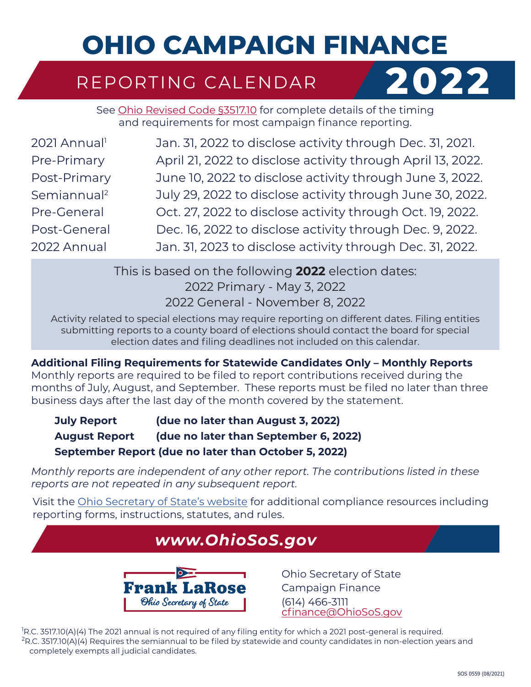# **OHIO CAMPAIGN FINANCE**

### REPORTING CALENDAR **2022**



See [Ohio Revised Code §3517.10](https://codes.ohio.gov/ohio-revised-code/section-3517.10) for complete details of the timing and requirements for most campaign finance reporting.

| 2021 Annual <sup>1</sup> | Jan. 31, 2022 to disclose activity through Dec. 31, 2021.   |
|--------------------------|-------------------------------------------------------------|
| Pre-Primary              | April 21, 2022 to disclose activity through April 13, 2022. |
| Post-Primary             | June 10, 2022 to disclose activity through June 3, 2022.    |
| Semiannual <sup>2</sup>  | July 29, 2022 to disclose activity through June 30, 2022.   |
| Pre-General              | Oct. 27, 2022 to disclose activity through Oct. 19, 2022.   |
| Post-General             | Dec. 16, 2022 to disclose activity through Dec. 9, 2022.    |
| 2022 Annual              | Jan. 31, 2023 to disclose activity through Dec. 31, 2022.   |
|                          |                                                             |

This is based on the following **2022** election dates: 2022 Primary - May 3, 2022 2022 General - November 8, 2022

Activity related to special elections may require reporting on different dates. Filing entities submitting reports to a county board of elections should contact the board for special election dates and filing deadlines not included on this calendar.

**Additional Filing Requirements for Statewide Candidates Only – Monthly Reports**

Monthly reports are required to be filed to report contributions received during the months of July, August, and September. These reports must be filed no later than three business days after the last day of the month covered by the statement.

**July Report (due no later than August 3, 2022) August Report (due no later than September 6, 2022) September Report (due no later than October 5, 2022)**

*Monthly reports are independent of any other report. The contributions listed in these reports are not repeated in any subsequent report.*

Visit the [Ohio Secretary of State's website](http://www.ohiosos.gov) for additional compliance resources including reporting forms, instructions, statutes, and rules.

#### *[www.OhioSoS.gov](http://www.OhioSecretaryofState.gov)*



Ohio Secretary of State Campaign Finance (614) 466-3111 [cfinance@OhioSoS.gov](mailto:cfinance%40ohiosos.gov?subject=)

1 R.C. 3517.10(A)(4) The 2021 annual is not required of any filing entity for which a 2021 post-general is required.  $R_{\rm R.C.}$  3517.10(A)(4) Requires the semiannual to be filed by statewide and county candidates in non-election years and completely exempts all judicial candidates.